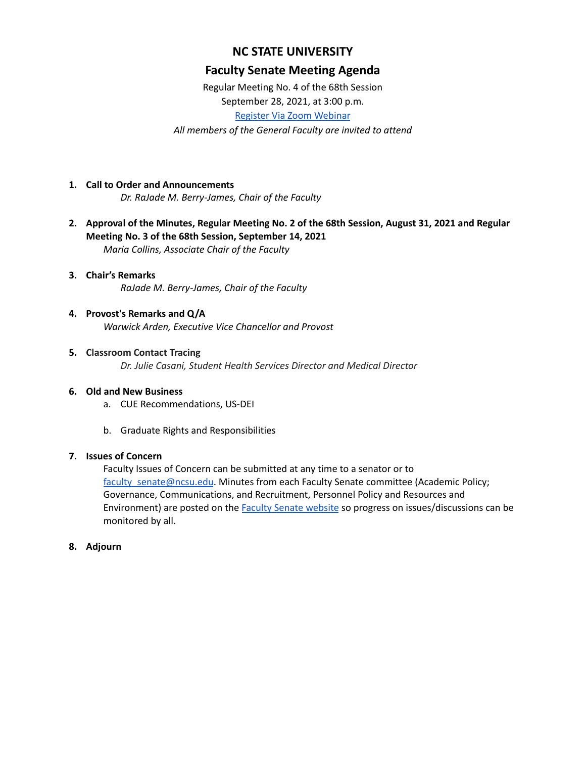# **NC STATE UNIVERSITY**

# **Faculty Senate Meeting Agenda**

Regular Meeting No. 4 of the 68th Session September 28, 2021, at 3:00 p.m.

Register Via Zoom [Webinar](https://ncsu.zoom.us/webinar/register/WN_qXRwvkUfS0ud6eJimM6vVg)

*All members of the General Faculty are invited to attend*

- **1. Call to Order and Announcements** *Dr. RaJade M. Berry-James, Chair of the Faculty*
- **2. Approval of the Minutes, Regular Meeting No. 2 of the 68th Session, August 31, 2021 and Regular Meeting No. 3 of the 68th Session, September 14, 2021** *Maria Collins, Associate Chair of the Faculty*

## **3. Chair's Remarks** *RaJade M. Berry-James, Chair of the Faculty*

- **4. Provost's Remarks and Q/A** *Warwick Arden, Executive Vice Chancellor and Provost*
- **5. Classroom Contact Tracing** *Dr. Julie Casani, Student Health Services Director and Medical Director*

### **6. Old and New Business**

- a. CUE Recommendations, US-DEI
- b. Graduate Rights and Responsibilities

### **7. Issues of Concern**

Faculty Issues of Concern can be submitted at any time to a senator or to [faculty\\_senate@ncsu.edu](mailto:faculty_senate@ncsu.edu). Minutes from each Faculty Senate committee (Academic Policy; Governance, Communications, and Recruitment, Personnel Policy and Resources and Environment) are posted on the Faculty Senate [website](https://facultysenate.ncsu.edu/) so progress on issues/discussions can be monitored by all.

### **8. Adjourn**